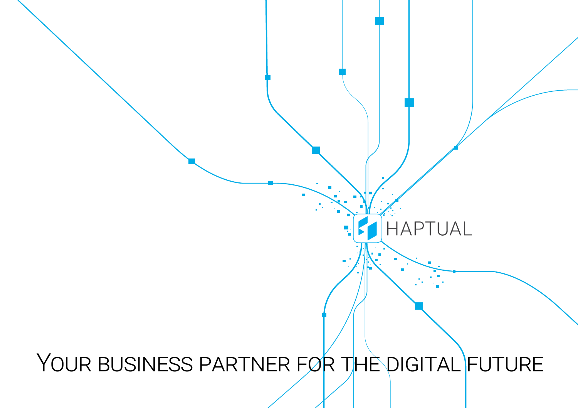#### YOUR BUSINESS PARTNER FOR THE DIGITAL FUTURE

**HAPTUAL**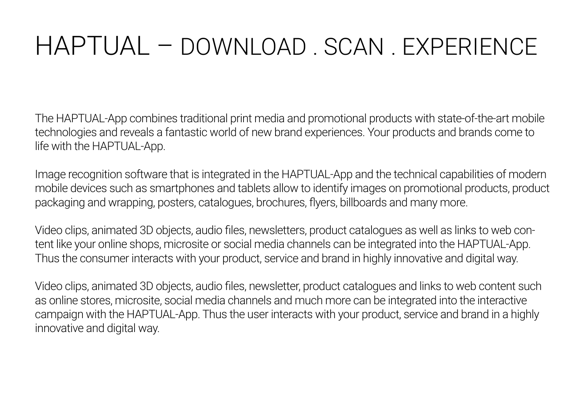### HAPTUAL – DOWNLOAD . SCAN . EXPERIENCE

The HAPTUAL-App combines traditional print media and promotional products with state-of-the-art mobile technologies and reveals a fantastic world of new brand experiences. Your products and brands come to life with the HAPTUAL-App.

Image recognition software that is integrated in the HAPTUAL-App and the technical capabilities of modern mobile devices such as smartphones and tablets allow to identify images on promotional products, product packaging and wrapping, posters, catalogues, brochures, flyers, billboards and many more.

Video clips, animated 3D objects, audio files, newsletters, product catalogues as well as links to web content like your online shops, microsite or social media channels can be integrated into the HAPTUAL-App. Thus the consumer interacts with your product, service and brand in highly innovative and digital way.

Video clips, animated 3D objects, audio files, newsletter, product catalogues and links to web content such as online stores, microsite, social media channels and much more can be integrated into the interactive campaign with the HAPTUAL-App. Thus the user interacts with your product, service and brand in a highly innovative and digital way.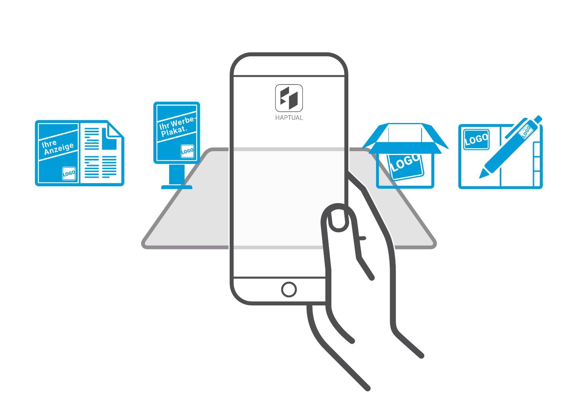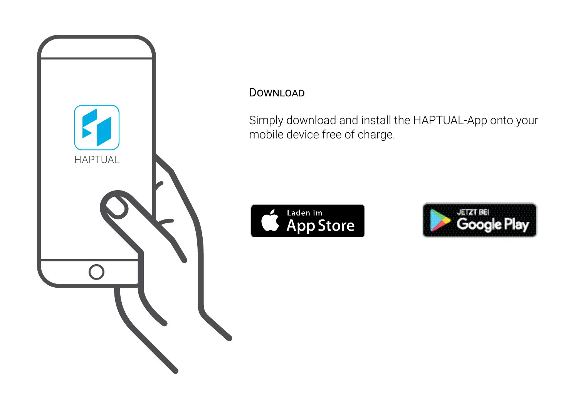

#### Download

Simply download and install the HAPTUAL-App onto your mobile device free of charge.



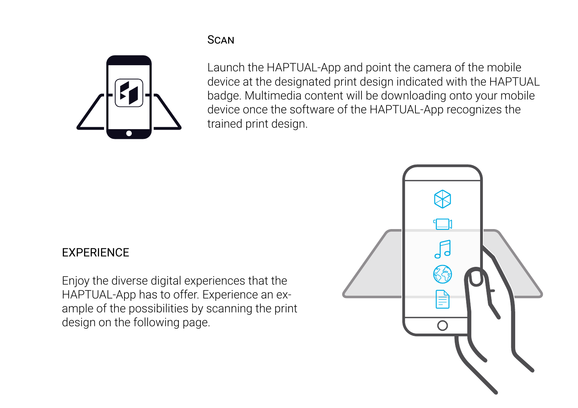#### **SCAN**



Launch the HAPTUAL-App and point the camera of the mobile device at the designated print design indicated with the HAPTUAL badge. Multimedia content will be downloading onto your mobile device once the software of the HAPTUAL-App recognizes the trained print design.

#### EXPERIENCE

Enjoy the diverse digital experiences that the HAPTUAL-App has to offer. Experience an example of the possibilities by scanning the print design on the following page.

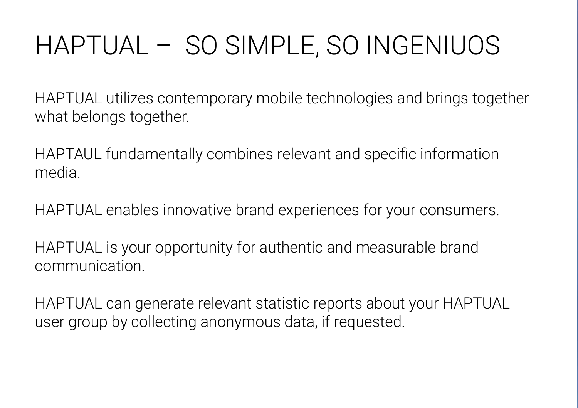# HAPTUAL – SO SIMPLE, SO INGENIUOS

HAPTUAL utilizes contemporary mobile technologies and brings together what belongs together.

HAPTAUL fundamentally combines relevant and specific information media.

HAPTUAL enables innovative brand experiences for your consumers.

HAPTUAL is your opportunity for authentic and measurable brand communication.

HAPTUAL can generate relevant statistic reports about your HAPTUAL user group by collecting anonymous data, if requested.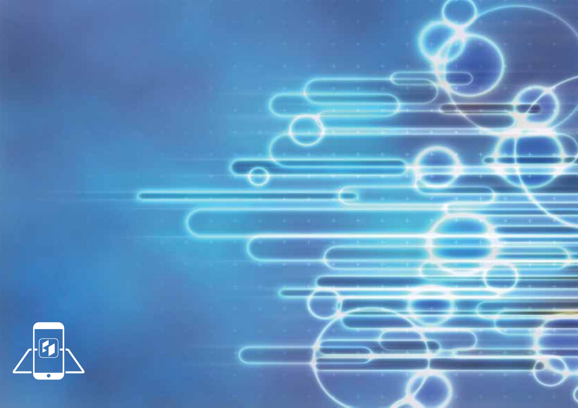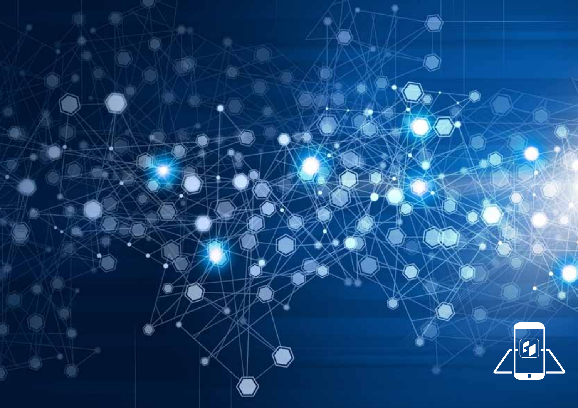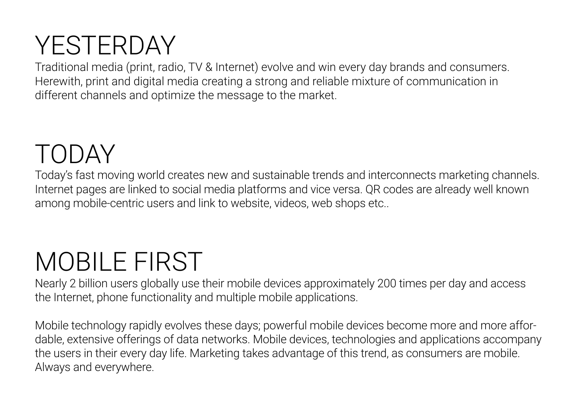# YESTERDAY

Traditional media (print, radio, TV & Internet) evolve and win every day brands and consumers. Herewith, print and digital media creating a strong and reliable mixture of communication in different channels and optimize the message to the market.

# TODAY

Today's fast moving world creates new and sustainable trends and interconnects marketing channels. Internet pages are linked to social media platforms and vice versa. QR codes are already well known among mobile-centric users and link to website, videos, web shops etc..

### MOBILE FIRST

Nearly 2 billion users globally use their mobile devices approximately 200 times per day and access the Internet, phone functionality and multiple mobile applications.

Mobile technology rapidly evolves these days; powerful mobile devices become more and more affordable, extensive offerings of data networks. Mobile devices, technologies and applications accompany the users in their every day life. Marketing takes advantage of this trend, as consumers are mobile. Always and everywhere.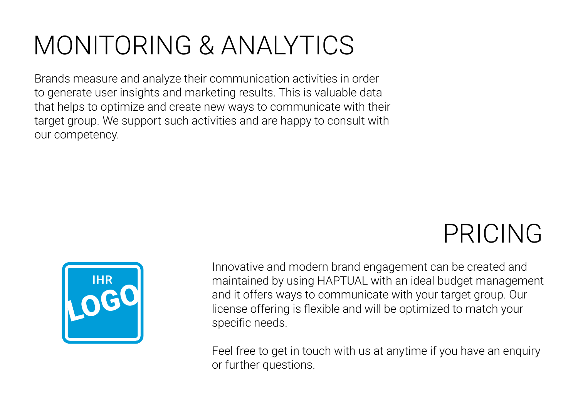# MONITORING & ANALYTICS

Brands measure and analyze their communication activities in order to generate user insights and marketing results. This is valuable data that helps to optimize and create new ways to communicate with their target group. We support such activities and are happy to consult with our competency.

### PRICING



Innovative and modern brand engagement can be created and maintained by using HAPTUAL with an ideal budget management and it offers ways to communicate with your target group. Our license offering is flexible and will be optimized to match your specific needs.

Feel free to get in touch with us at anytime if you have an enquiry or further questions.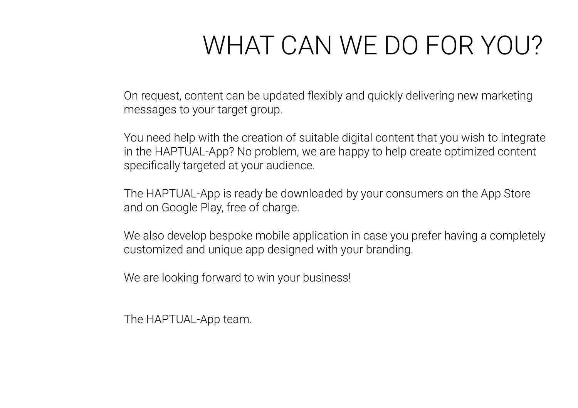## WHAT CAN WE DO FOR YOU?

On request, content can be updated flexibly and quickly delivering new marketing messages to your target group.

You need help with the creation of suitable digital content that you wish to integrate in the HAPTUAL-App? No problem, we are happy to help create optimized content specifically targeted at your audience.

The HAPTUAL-App is ready be downloaded by your consumers on the App Store and on Google Play, free of charge.

We also develop bespoke mobile application in case you prefer having a completely customized and unique app designed with your branding.

We are looking forward to win your business!

The HAPTUAL-App team.